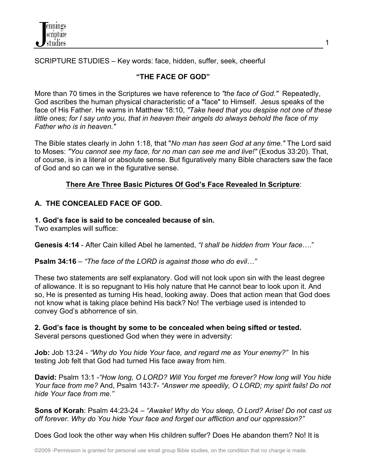

SCRIPTURE STUDIES – Key words: face, hidden, suffer, seek, cheerful

## **"THE FACE OF GOD"**

More than 70 times in the Scriptures we have reference to *"the face of God."* Repeatedly, God ascribes the human physical characteristic of a "face" to Himself. Jesus speaks of the face of His Father. He warns in Matthew 18:10, *"Take heed that you despise not one of these little ones; for I say unto you, that in heaven their angels do always behold the face of my Father who is in heaven."*

The Bible states clearly in John 1:18, that "*No man has seen God at any time."* The Lord said to Moses: *"You cannot see my face, for no man can see me and live!"* (Exodus 33:20). That, of course, is in a literal or absolute sense. But figuratively many Bible characters saw the face of God and so can we in the figurative sense.

### **There Are Three Basic Pictures Of God's Face Revealed In Scripture**:

### **A. THE CONCEALED FACE OF GOD.**

#### **1. God's face is said to be concealed because of sin.**

Two examples will suffice:

**Genesis 4:14** - After Cain killed Abel he lamented, *"I shall be hidden from Your face*…."

**Psalm 34:16** – *"The face of the LORD is against those who do evil…"*

These two statements are self explanatory. God will not look upon sin with the least degree of allowance. It is so repugnant to His holy nature that He cannot bear to look upon it. And so, He is presented as turning His head, looking away. Does that action mean that God does not know what is taking place behind His back? No! The verbiage used is intended to convey God's abhorrence of sin.

**2. God's face is thought by some to be concealed when being sifted or tested.** Several persons questioned God when they were in adversity:

**Job:** Job 13:24 - *"Why do You hide Your face, and regard me as Your enemy?"* In his testing Job felt that God had turned His face away from him.

**David:** Psalm 13:1 -*"How long, O LORD? Will You forget me forever? How long will You hide Your face from me?* And, Psalm 143:7- *"Answer me speedily, O LORD; my spirit fails! Do not hide Your face from me."*

**Sons of Korah**: Psalm 44:23-24 – *"Awake! Why do You sleep, O Lord? Arise! Do not cast us off forever. Why do You hide Your face and forget our affliction and our oppression?"*

Does God look the other way when His children suffer? Does He abandon them? No! It is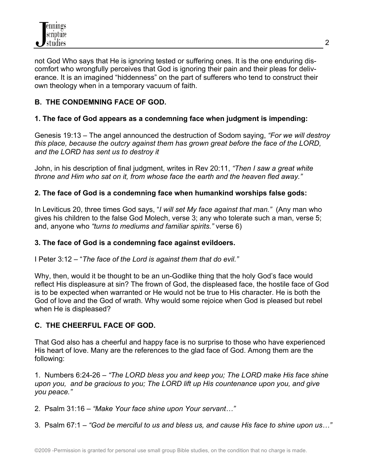not God Who says that He is ignoring tested or suffering ones. It is the one enduring discomfort who wrongfully perceives that God is ignoring their pain and their pleas for deliverance. It is an imagined "hiddenness" on the part of sufferers who tend to construct their own theology when in a temporary vacuum of faith.

# **B. THE CONDEMNING FACE OF GOD.**

## **1. The face of God appears as a condemning face when judgment is impending:**

Genesis 19:13 – The angel announced the destruction of Sodom saying, *"For we will destroy this place, because the outcry against them has grown great before the face of the LORD, and the LORD has sent us to destroy it*

John, in his description of final judgment, writes in Rev 20:11, *"Then I saw a great white throne and Him who sat on it, from whose face the earth and the heaven fled away."*

### **2. The face of God is a condemning face when humankind worships false gods:**

In Leviticus 20, three times God says, "*I will set My face against that man."* (Any man who gives his children to the false God Molech, verse 3; any who tolerate such a man, verse 5; and, anyone who *"turns to mediums and familiar spirits."* verse 6)

### **3. The face of God is a condemning face against evildoers.**

I Peter 3:12 – "*The face of the Lord is against them that do evil."*

Why, then, would it be thought to be an un-Godlike thing that the holy God's face would reflect His displeasure at sin? The frown of God, the displeased face, the hostile face of God is to be expected when warranted or He would not be true to His character. He is both the God of love and the God of wrath. Why would some rejoice when God is pleased but rebel when He is displeased?

## **C. THE CHEERFUL FACE OF GOD.**

That God also has a cheerful and happy face is no surprise to those who have experienced His heart of love. Many are the references to the glad face of God. Among them are the following:

1. Numbers 6:24-26 – *"The LORD bless you and keep you; The LORD make His face shine upon you, and be gracious to you; The LORD lift up His countenance upon you, and give you peace."*

2. Psalm 31:16 – *"Make Your face shine upon Your servant…"*

3. Psalm 67:1 – *"God be merciful to us and bless us, and cause His face to shine upon us…"*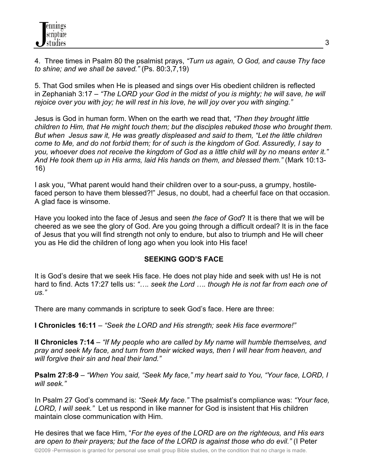4. Three times in Psalm 80 the psalmist prays, *"Turn us again, O God, and cause Thy face to shine; and we shall be saved."* (Ps. 80:3,7,19)

5. That God smiles when He is pleased and sings over His obedient children is reflected in Zephaniah 3:17 – *"The LORD your God in the midst of you is mighty; he will save, he will rejoice over you with joy; he will rest in his love, he will joy over you with singing."*

Jesus is God in human form. When on the earth we read that, *"Then they brought little children to Him, that He might touch them; but the disciples rebuked those who brought them. But when Jesus saw it, He was greatly displeased and said to them, "Let the little children come to Me, and do not forbid them; for of such is the kingdom of God. Assuredly, I say to you, whoever does not receive the kingdom of God as a little child will by no means enter it." And He took them up in His arms, laid His hands on them, and blessed them."* (Mark 10:13- 16)

I ask you, "What parent would hand their children over to a sour-puss, a grumpy, hostilefaced person to have them blessed?!" Jesus, no doubt, had a cheerful face on that occasion. A glad face is winsome.

Have you looked into the face of Jesus and seen *the face of God*? It is there that we will be cheered as we see the glory of God. Are you going through a difficult ordeal? It is in the face of Jesus that you will find strength not only to endure, but also to triumph and He will cheer you as He did the children of long ago when you look into His face!

### **SEEKING GOD'S FACE**

It is God's desire that we seek His face. He does not play hide and seek with us! He is not hard to find. Acts 17:27 tells us: *"…. seek the Lord …. though He is not far from each one of us."* 

There are many commands in scripture to seek God's face. Here are three:

**I Chronicles 16:11** – *"Seek the LORD and His strength; seek His face evermore!"* 

**II Chronicles 7:14** – *"If My people who are called by My name will humble themselves, and pray and seek My face, and turn from their wicked ways, then I will hear from heaven, and will forgive their sin and heal their land."*

**Psalm 27:8-9** – *"When You said, "Seek My face," my heart said to You, "Your face, LORD, I will seek."*

In Psalm 27 God's command is: *"Seek My face."* The psalmist's compliance was: *"Your face, LORD, I will seek."* Let us respond in like manner for God is insistent that His children maintain close communication with Him.

He desires that we face Him, "*For the eyes of the LORD are on the righteous,* a*nd His ears are open to their prayers; but the face of the LORD is against those who do evil."* (I Peter